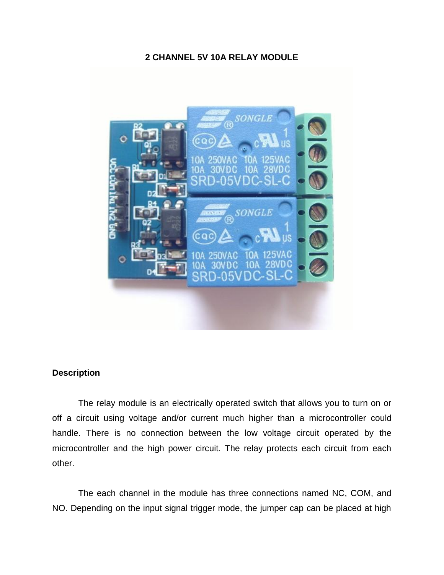#### **2 CHANNEL 5V 10A RELAY MODULE**



### **Description**

The relay module is an electrically operated switch that allows you to turn on or off a circuit using voltage and/or current much higher than a microcontroller could handle. There is no connection between the low voltage circuit operated by the microcontroller and the high power circuit. The relay protects each circuit from each other.

The each channel in the module has three connections named NC, COM, and NO. Depending on the input signal trigger mode, the jumper cap can be placed at high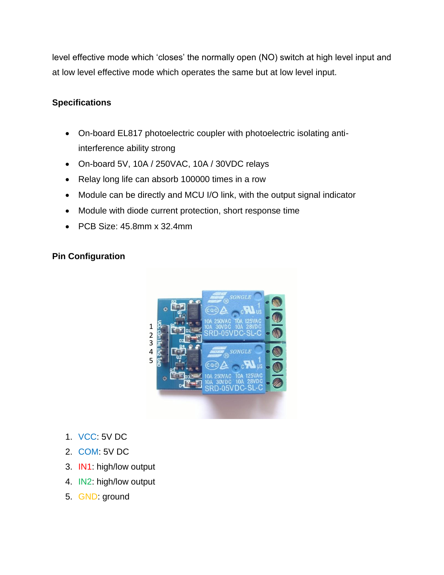level effective mode which 'closes' the normally open (NO) switch at high level input and at low level effective mode which operates the same but at low level input.

### **Specifications**

- On-board EL817 photoelectric coupler with photoelectric isolating antiinterference ability strong
- On-board 5V, 10A / 250VAC, 10A / 30VDC relays
- Relay long life can absorb 100000 times in a row
- Module can be directly and MCU I/O link, with the output signal indicator
- Module with diode current protection, short response time
- PCB Size: 45.8mm x 32.4mm

## **Pin Configuration**



- 1. VCC: 5V DC
- 2. COM: 5V DC
- 3. IN1: high/low output
- 4. IN2: high/low output
- 5. GND: ground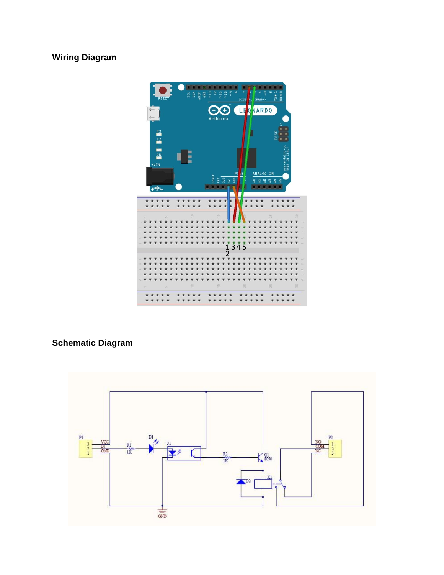# **Wiring Diagram**



## **Schematic Diagram**

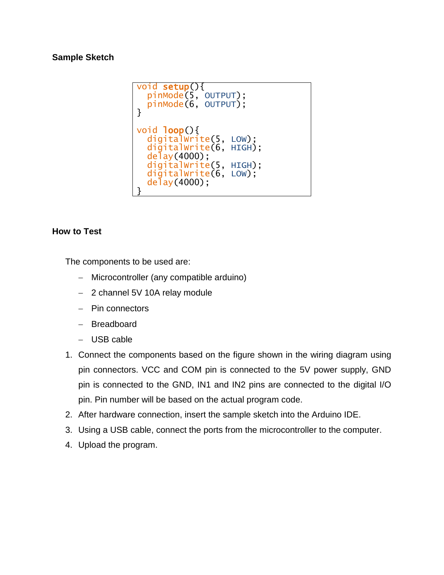#### **Sample Sketch**

```
void setup(){
  pinMode(5, OUTPUT);
   pinMode(6, OUTPUT);
}
void loop(){
   digitalWrite(5, LOW);
   digitalWrite(6, HIGH);
  de\bar{1}ay(4000);
   digitalWrite(5, HIGH);
   digitalWrite(6, LOW);
   delay(4000);
}
```
### **How to Test**

The components to be used are:

- Microcontroller (any compatible arduino)
- 2 channel 5V 10A relay module
- $-$  Pin connectors
- Breadboard
- USB cable
- 1. Connect the components based on the figure shown in the wiring diagram using pin connectors. VCC and COM pin is connected to the 5V power supply, GND pin is connected to the GND, IN1 and IN2 pins are connected to the digital I/O pin. Pin number will be based on the actual program code.
- 2. After hardware connection, insert the sample sketch into the Arduino IDE.
- 3. Using a USB cable, connect the ports from the microcontroller to the computer.
- 4. Upload the program.